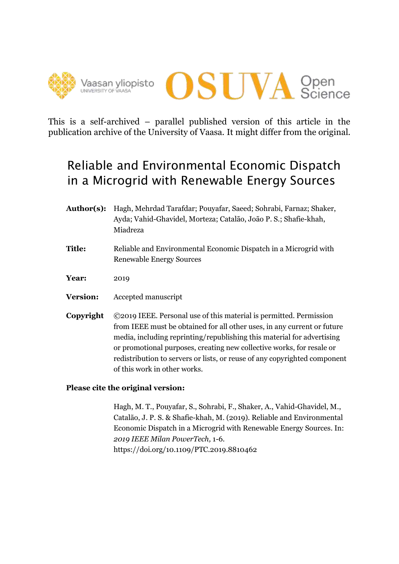



This is a self-archived – parallel published version of this article in the publication archive of the University of Vaasa. It might differ from the original.

# Reliable and Environmental Economic Dispatch in a Microgrid with Renewable Energy Sources

- **Author(s):** Hagh, Mehrdad Tarafdar; Pouyafar, Saeed; Sohrabi, Farnaz; Shaker, Ayda; Vahid-Ghavidel, Morteza; Catalão, João P. S.; Shafie-khah, Miadreza
- **Title:** Reliable and Environmental Economic Dispatch in a Microgrid with Renewable Energy Sources
- **Year:** 2019
- **Version:** Accepted manuscript
- **Copyright** ©2019 IEEE. Personal use of this material is permitted. Permission from IEEE must be obtained for all other uses, in any current or future media, including reprinting/republishing this material for advertising or promotional purposes, creating new collective works, for resale or redistribution to servers or lists, or reuse of any copyrighted component of this work in other works.

# **Please cite the original version:**

Hagh, M. T., Pouyafar, S., Sohrabi, F., Shaker, A., Vahid-Ghavidel, M., Catalão, J. P. S. & Shafie-khah, M. (2019). Reliable and Environmental Economic Dispatch in a Microgrid with Renewable Energy Sources. In: *2019 IEEE Milan PowerTech,* 1-6. https://doi.org/10.1109/PTC.2019.8810462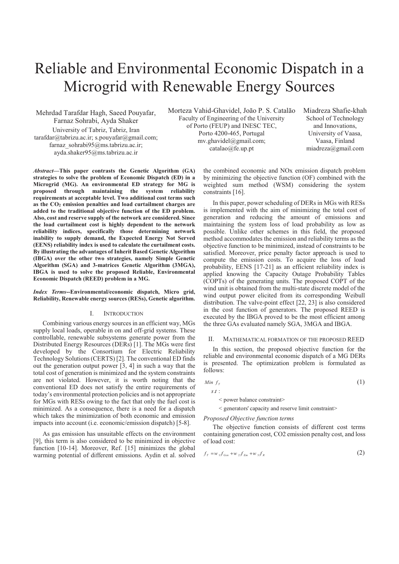# Reliable and Environmental Economic Dispatch in a Microgrid with Renewable Energy Sources

Mehrdad Tarafdar Hagh, Saeed Pouyafar, Farnaz Sohrabi, Ayda Shaker University of Tabriz, Tabriz, Iran tarafdar@tabrizu.ac.ir; s.pouyafar@gmail.com; farnaz\_sohrabi95@ms.tabrizu.ac.ir; ayda.shaker95@ms.tabrizu.ac.ir

Morteza Vahid-Ghavidel, João P. S. Catalão Faculty of Engineering of the University of Porto (FEUP) and INESC TEC, Porto 4200-465, Portugal mv.ghavidel@gmail.com; catalao@fe.up.pt

Miadreza Shafie-khah School of Technology and Innovations, University of Vaasa, Vaasa, Finland miadreza@gmail.com

*Abstract***—This paper contrasts the Genetic Algorithm (GA) strategies to solve the problem of Economic Dispatch (ED) in a Microgrid (MG). An environmental ED strategy for MG is proposed through maintaining the system reliability requirements at acceptable level. Two additional cost terms such as the CO2 emission penalties and load curtailment charges are added to the traditional objective function of the ED problem. Also, cost and reserve supply of the network are considered. Since the load curtailment cost is highly dependent to the network reliability indices, specifically those determining network inability to supply demand, the Expected Energy Not Served (EENS) reliability index is used to calculate the curtailment costs. By illustrating the advantages of Inherit Based Genetic Algorithm (IBGA) over the other two strategies, namely Simple Genetic Algorithm (SGA) and 3-matrices Genetic Algorithm (3MGA), IBGA is used to solve the proposed Reliable, Environmental Economic Dispatch (REED) problem in a MG.** 

#### *Index Terms***--Environmental/economic dispatch, Micro grid, Reliability, Renewable energy sources (RESs), Genetic algorithm.**

#### I. INTRODUCTION

Combining various energy sources in an efficient way, MGs supply local loads, operable in on and off-grid systems. These controllable, renewable subsystems generate power from the Distributed Energy Resources (DERs) [1]. The MGs were first developed by the Consortium for Electric Reliability Technology Solutions (CERTS) [2]. The conventional ED finds out the generation output power [3, 4] in such a way that the total cost of generation is minimized and the system constraints are not violated. However, it is worth noting that the conventional ED does not satisfy the entire requirements of today's environmental protection policies and is not appropriate for MGs with RESs owing to the fact that only the fuel cost is minimized. As a consequence, there is a need for a dispatch which takes the minimization of both economic and emission impacts into account (i.e. economic/emission dispatch) [5-8].

As gas emission has unsuitable effects on the environment [9], this term is also considered to be minimized in objective function [10-14]. Moreover, Ref. [15] minimizes the global warming potential of different emissions. Aydin et al. solved

the combined economic and NOx emission dispatch problem by minimizing the objective function (OF) combined with the weighted sum method (WSM) considering the system constraints [16].

In this paper, power scheduling of DERs in MGs with RESs is implemented with the aim of minimizing the total cost of generation and reducing the amount of emissions and maintaining the system loss of load probability as low as possible. Unlike other schemes in this field, the proposed method accommodates the emission and reliability terms as the objective function to be minimized, instead of constraints to be satisfied. Moreover, price penalty factor approach is used to compute the emission costs. To acquire the loss of load probability, EENS [17-21] as an efficient reliability index is applied knowing the Capacity Outage Probability Tables (COPTs) of the generating units. The proposed COPT of the wind unit is obtained from the multi-state discrete model of the wind output power elicited from its corresponding Weibull distribution. The valve-point effect [22, 23] is also considered in the cost function of generators. The proposed REED is executed by the IBGA proved to be the most efficient among the three GAs evaluated namely SGA, 3MGA and IBGA.

#### II. MATHEMATICAL FORMATION OF THE PROPOSED REED

In this section, the proposed objective function for the reliable and environmental economic dispatch of a MG DERs is presented. The optimization problem is formulated as follows:

$$
Min f_{\tau} \tag{1}
$$

 $s$   $t$  :

< power balance constraint>

< generators' capacity and reserve limit constraint>

#### *Proposed Objective function terms*

The objective function consists of different cost terms containing generation cost, CO2 emission penalty cost, and loss of load cost:

$$
f_{T} = w_{1} f_{Gen} + w_{2} f_{Em} + w_{3} f_{R}
$$
\n(2)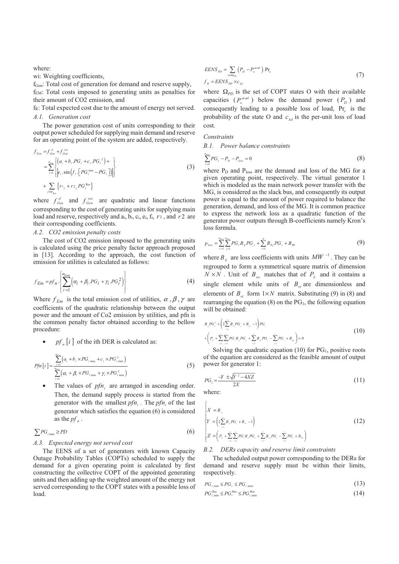where:

wi: Weighting coefficients,

f<sub>Gen</sub>: Total cost of generation for demand and reserve supply, fEM: Total costs imposed to generating units as penalties for their amount of CO2 emission, and

f<sub>R</sub>: Total expected cost due to the amount of energy not served. *A.1. Generation cost* 

The power generation cost of units corresponding to their output power scheduled for supplying main demand and reserve for an operating point of the system are added, respectively.

$$
f_{Gen} = f_{Gen}^{d} + f_{Gen}^{res}
$$
  
= 
$$
\sum_{i=1}^{n_{Gen}} \left\{ \begin{pmatrix} a_i + b_i PG_i + c_i P G_i^2 + \cdots \\ e_i . \sin(f_i . [PG_i^{min} - PG_i ]) \end{pmatrix} \right\}
$$
  
+ 
$$
\sum_{j \in \mathbf{w}_{Res}} \left\{ r_{1j} + r_{2j} PG_i^{res} \right\}
$$
 (3)

where  $f_{Gen}^d$  and  $f_{Gen}^{res}$  are quadratic and linear functions corresponding to the cost of generating units for supplying main load and reserve, respectively and  $a_i$ ,  $b_i$ ,  $c_i$ ,  $e_i$ ,  $f_i$ ,  $r_1$ , and  $r_2$  are their corresponding coefficients.

# *A.2. CO2 emission penalty costs*

The cost of CO2 emission imposed to the generating units is calculated using the price penalty factor approach proposed in [13]. According to the approach, the cost function of emission for utilities is calculated as follows:

$$
f_{Em} = pf_n \cdot \left\{ \sum_{i=1}^{n_{Gen}} \left( \alpha_i + \beta_i \cdot PG_i + \gamma_i \cdot PG_i^2 \right) \right\}
$$
 (4)

Where  $f_{Em}$  is the total emission cost of utilities,  $\alpha$ ,  $\beta$ ,  $\gamma$  are coefficients of the quadratic relationship between the output power and the amount of Co2 emission by utilities, and pfn is the common penalty factor obtained according to the bellow procedure:

 $pf_n[i]$  of the ith DER is calculated as:

$$
Pfn[i] = \frac{\sum_{i=1}^{n_{\text{Gen}}} (a_i + b_i \times PG_{i_{\text{max}}} + c_i \times PG_{i_{\text{max}}}^2)}{\sum_{i=1}^{n_{\text{Gen}}} (\alpha_i + \beta_i \times PG_{i_{\text{max}}} + \gamma_i \times PG_{i_{\text{max}}}^2)}
$$
(5)

The values of *pfn*, are arranged in ascending order. Then, the demand supply process is started from the generator with the smallest  $pfn_i$ . The  $pfn_i$  of the last generator which satisfies the equation (6) is considered as the  $pf_n$ .

$$
\sum PG_{i_{\max}} \ge PD
$$
 (6)

# *A.3. Expected energy not served cost*

The EENS of a set of generators with known Capacity Outage Probability Tables (COPTs) scheduled to supply the demand for a given operating point is calculated by first constructing the collective COPT of the appointed generating units and then adding up the weighted amount of the energy not served corresponding to the COPT states with a possible loss of load.

$$
EENS_{PD} = \sum_{o \in \Omega_{PD}} \left( P_D - P_o^{wall} \right) . Pr_o
$$
  
\n
$$
f_R = EENS_{PD} \times c_{tot}
$$
\n(7)

where  $\Omega_{p}$  is the set of COPT states O with their available capacities  $(P_o^{\text{avail}})$  below the demand power  $(P_D)$  and consequently leading to a possible loss of load, Pr*o* is the probability of the state O and  $c_{bd}$  is the per-unit loss of load cost.

#### *Constraints*

*B.1. Power balance constraints* 

$$
\sum_{i=1}^{n_{\text{diag}}} PG_i - P_D - P_{\text{loss}} = 0 \tag{8}
$$

where  $P_D$  and  $P_{loss}$  are the demand and loss of the MG for a given operating point, respectively. The virtual generator 1 which is modeled as the main network power transfer with the MG, is considered as the slack bus, and consequently its output power is equal to the amount of power required to balance the generation, demand, and loss of the MG. It is common practice to express the network loss as a quadratic function of the generator power outputs through B-coefficients namely Kron's loss formula.

$$
p_{\text{loss}} = \sum_{i=1}^{n_{\text{Cas}}} \sum_{j=1}^{n_{\text{Cas}}} PG_i B_{ij} PG_j + \sum_{i=1}^{n} B_{0j} PG_i + B_{00}
$$
(9)

where  $B_{ij}$  are loss coefficients with units  $MW^{-1}$ . They can be regrouped to form a symmetrical square matrix of dimension  $N \times N$ . Unit of  $B_{oo}$  matches that of  $P_L$  and it contains a single element while units of  $B_{oi}$  are dimensionless and elements of  $B_{oi}$  form  $1 \times N$  matrix. Substituting (9) in (8) and rearranging the equation  $(8)$  on the  $PG<sub>1</sub>$ , the following equation will be obtained:

$$
B_{ii}PG_{i}^{2} + \left(2\sum_{i=2}^{n} B_{ii}PG_{i} + B_{ii} - 1\right) PG_{i}
$$
  
+ 
$$
\left(P_{b} + \sum_{i=2}^{n} \sum_{j=2}^{n} PG_{i} B_{ij} PG_{j} + \sum_{i=2}^{n} B_{ii} PG_{i} - \sum_{i=2}^{n} PG_{i} + B_{i0}\right) = 0
$$
 (10)

Solving the quadratic equation (10) for  $PG<sub>1</sub>$ , positive roots of the equation are considered as the feasible amount of output power for generator 1:

$$
PG_{1} = \frac{-Y \pm \sqrt{Y^{2} - 4XZ}}{2X}
$$
\n(11)

where:

 $\epsilon$ 

$$
\begin{cases}\nX = B_{\shortparallel} \\
Y = \left(2\sum_{i=1}^{n} B_{\shortparallel} PG_{i} + B_{\shortparallel} - 1\right) \\
Z = \left(P_{\shortparallel} + \sum_{i=1}^{n} \sum_{j=1}^{n} PG_{i} B_{\shortparallel} PG_{j} + \sum_{i=1}^{n} B_{\shortparallel} PG_{i} - \sum_{i=1}^{n} PG_{i} + B_{\shortparallel} \right)\n\end{cases} \tag{12}
$$

#### *B.2. DERs capacity and reserve limit constraints*

The scheduled output power corresponding to the DERs for demand and reserve supply must be within their limits, respectively.

$$
PG_{i,\min} \le PG_i \le PG_{i,\max} \tag{13}
$$

$$
PG_{i,\min}^{\text{Res}} \le PG_i^{\text{Res}} \le PG_{i,\max}^{\text{Res}} \tag{14}
$$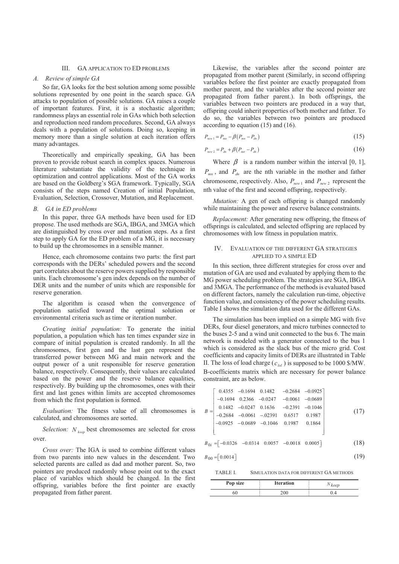# III. GA APPLICATION TO ED PROBLEMS

# *A. Review of simple GA*

So far, GA looks for the best solution among some possible solutions represented by one point in the search space. GA attacks to population of possible solutions. GA raises a couple of important features. First, it is a stochastic algorithm; randomness plays an essential role in GAs which both selection and reproduction need random procedures. Second, GA always deals with a population of solutions. Doing so, keeping in memory more than a single solution at each iteration offers many advantages.

Theoretically and empirically speaking, GA has been proven to provide robust search in complex spaces. Numerous literature substantiate the validity of the technique in optimization and control applications. Most of the GA works are based on the Goldberg's SGA framework. Typically, SGA consists of the steps named Creation of initial Population, Evaluation, Selection, Crossover, Mutation, and Replacement.

#### *B. GA in ED problems*

In this paper, three GA methods have been used for ED propose. The used methods are SGA, IBGA, and 3MGA which are distinguished by cross over and mutation steps. As a first step to apply GA for the ED problem of a MG, it is necessary to build up the chromosomes in a sensible manner.

Hence, each chromosome contains two parts: the first part corresponds with the DERs' scheduled powers and the second part correlates about the reserve powers supplied by responsible units. Each chromosome's gen index depends on the number of DER units and the number of units which are responsible for reserve generation.

The algorithm is ceased when the convergence of population satisfied toward the optimal solution or environmental criteria such as time or iteration number.

*Creating initial population:* To generate the initial population, a population which has ten times expander size in compare of initial population is created randomly. In all the chromosomes, first gen and the last gen represent the transferred power between MG and main network and the output power of a unit responsible for reserve generation balance, respectively. Consequently, their values are calculated based on the power and the reserve balance equalities, respectively. By building up the chromosomes, ones with their first and last genes within limits are accepted chromosomes from which the first population is formed.

*Evaluation:* The fitness value of all chromosomes is calculated, and chromosomes are sorted.

*Selection:*  $N_{\text{beam}}$  best chromosomes are selected for cross over.

*Cross over:* The IGA is used to combine different values from two parents into new values in the descendent. Two selected parents are called as dad and mother parent. So, two pointers are produced randomly whose point out to the exact place of variables which should be changed. In the first offspring, variables before the first pointer are exactly propagated from father parent.

Likewise, the variables after the second pointer are propagated from mother parent (Similarly, in second offspring variables before the first pointer are exactly propagated from mother parent, and the variables after the second pointer are propagated from father parent.). In both offsprings, the variables between two pointers are produced in a way that, offspring could inherit properties of both mother and father. To do so, the variables between two pointers are produced according to equation (15) and (16).

$$
P_{new1} = P_{mn} - \beta (P_{mn} - P_{dn})
$$
\n(15)

$$
P_{new\,2} = P_{dn} + \beta (P_{mn} - P_{dn})
$$
\n(16)

Where  $\beta$  is a random number within the interval [0, 1],  $P_{mn}$ , and  $P_{dn}$  are the nth variable in the mother and father chromosome, respectively. Also,  $P_{new1}$  and  $P_{new2}$  represent the nth value of the first and second offspring, respectively.

*Mutation:* A gen of each offspring is changed randomly while maintaining the power and reserve balance constraints.

*Replacement:* After generating new offspring, the fitness of offsprings is calculated, and selected offspring are replaced by chromosomes with low fitness in population matrix.

## IV. EVALUATION OF THE DIFFERENT GA STRATEGIES APPLIED TO A SIMPLE ED

In this section, three different strategies for cross over and mutation of GA are used and evaluated by applying them to the MG power scheduling problem. The strategies are SGA, IBGA and 3MGA. The performance of the methods is evaluated based on different factors, namely the calculation run-time, objective function value, and consistency of the power scheduling results. Table I shows the simulation data used for the different GAs.

The simulation has been implied on a simple MG with five DERs, four diesel generators, and micro turbines connected to the buses 2-5 and a wind unit connected to the bus 6. The main network is modeled with a generator connected to the bus 1 which is considered as the slack bus of the micro grid. Cost coefficients and capacity limits of DERs are illustrated in Table II. The loss of load charge ( $c_{bd}$ ) is supposed to be 1000 \$/MW. B-coefficients matrix which are necessary for power balance constraint, are as below.

$$
B = \begin{bmatrix} 0.4355 & -0.1694 & 0.1482 & -0.2684 & -0.0925 \\ -0.1694 & 0.2366 & -0.0247 & -0.0061 & -0.0689 \\ 0.1482 & -0.0247 & 0.1636 & -0.2391 & -0.1046 \\ -0.2684 & -0.0061 & -0.02391 & 0.6517 & 0.1987 \\ -0.0925 & -0.0689 & -0.1046 & 0.1987 & 0.1864 \\ B_{0i} = [-0.0326 & -0.0314 & 0.0057 & -0.0018 & 0.0005] \end{bmatrix}
$$
(18)

$$
B_{00} = \begin{bmatrix} 0.0014 \end{bmatrix} \tag{19}
$$

TABLE I. SIMULATION DATA FOR DIFFERENT GA METHODS

| Pop size | <b>Iteration</b> | keep |
|----------|------------------|------|
|          | 200              |      |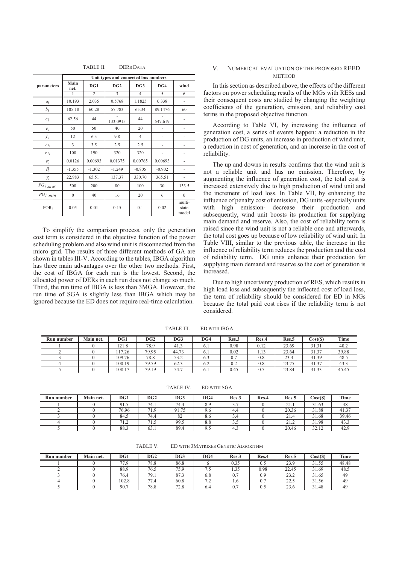|              |              |                | Unit types and connected bus numbers |                |          |                          |
|--------------|--------------|----------------|--------------------------------------|----------------|----------|--------------------------|
| parameters   | Main<br>net. | DG1            | DG2                                  | DG3            | DG4      | wind                     |
|              | 1            | $\overline{c}$ | 3                                    | $\overline{4}$ | 5        | 6                        |
| $a_i$        | 10.193       | 2.035          | 0.5768                               | 1.1825         | 0.338    | ٠                        |
| $b_i$        | 105.18       | 60.28          | 57.783                               | 65.34          | 89.1476  | 60                       |
| $c_i$        | 62.56        | 44             | 133.0915                             | 44             | 547.619  |                          |
| $e_i$        | 50           | 50             | 40                                   | 20             |          |                          |
| $f_i$        | 12           | 6.3            | 9.8                                  | $\overline{4}$ |          |                          |
| $r_{i_i}$    | 3            | 3.5            | 2.5                                  | 2.5            |          |                          |
| $r_{2_i}$    | 100          | 190            | 320                                  | 320            |          |                          |
| $\alpha_{i}$ | 0.0126       | 0.00693        | 0.01375                              | 0.00765        | 0.00693  |                          |
| $\beta_i$    | $-1.355$     | $-1.302$       | $-1.249$                             | $-0.805$       | $-0.902$ |                          |
| $\gamma_i$   | 22.983       | 65.51          | 137.37                               | 330.70         | 365.51   |                          |
| $PG_{i,max}$ | 500          | 200            | 80                                   | 100            | 30       | 133.5                    |
| $PG_{i,min}$ | $\mathbf{0}$ | 40             | 16                                   | 20             | 6        | $\Omega$                 |
| <b>FOR:</b>  | 0.05         | 0.01           | 0.15                                 | 0.1            | 0.02     | multi-<br>state<br>model |

To simplify the comparison process, only the generation cost term is considered in the objective function of the power scheduling problem and also wind unit is disconnected from the micro grid. The results of three different methods of GA are shown in tables III-V. According to the tables, IBGA algorithm has three main advantages over the other two methods. First, the cost of IBGA for each run is the lowest. Second, the allocated power of DERs in each run does not change so much. Third, the run time of IBGA is less than 3MGA. However, the run time of SGA is slightly less than IBGA which may be ignored because the ED does not require real-time calculation.

# V. NUMERICAL EVALUATION OF THE PROPOSED REED **METHOD**

In this section as described above, the effects of the different factors on power scheduling results of the MGs with RESs and their consequent costs are studied by changing the weighting coefficients of the generation, emission, and reliability cost terms in the proposed objective function.

According to Table VI, by increasing the influence of generation cost, a series of events happen: a reduction in the production of DG units, an increase in production of wind unit, a reduction in cost of generation, and an increase in the cost of reliability.

The up and downs in results confirms that the wind unit is not a reliable unit and has no emission. Therefore, by augmenting the influence of generation cost, the total cost is increased extensively due to high production of wind unit and the increment of load loss. In Table VII, by enhancing the influence of penalty cost of emission, DG units -especially units with high emission- decrease their production and subsequently, wind unit boosts its production for supplying main demand and reserve. Also, the cost of reliability term is raised since the wind unit is not a reliable one and afterwards, the total cost goes up because of low reliability of wind unit. In Table VIII, similar to the previous table, the increase in the influence of reliability term reduces the production and the cost of reliability term. DG units enhance their production for supplying main demand and reserve so the cost of generation is increased.

Due to high uncertainty production of RES, which results in high load loss and subsequently the inflected cost of load loss, the term of reliability should be considered for ED in MGs because the total paid cost rises if the reliability term is not considered.

| Run number | Main net. | DG1    | DG2   | DG3   | DG4            | Res.3 | Res.4 | Res.5 | Cost(S) | Time  |
|------------|-----------|--------|-------|-------|----------------|-------|-------|-------|---------|-------|
|            |           | 121.8  | 78.9  | 41.3  | 6.1            | 0.98  | 0.12  | 23.69 | 31.31   | 40.2  |
|            |           | 17.26  | 79.95 | 44.73 | 6.1            | 0.02  | 1.13  | 23.64 | 31.37   | 39.88 |
|            |           | 109.76 | 78.8  | 53.2  | 0.3            | 0.7   | 0.8   | 23.3  | 31.39   | 48.5  |
|            |           | 100.19 | 79.59 | 62.3  | 6.2            | 0.2   | 0.8   | 23.75 | 31.37   | 43.3  |
|            |           | 108.17 | 79.19 | 54.7  | $\mathbf{b}$ . | 0.45  | 0.5   | 23.84 | 31.33   | 45.45 |

TABLE III. ED WITH IBGA

TABLE IV. ED WITH SGA

| Run number | Main net. | DG1   | DG2       | DG <sub>3</sub> | DG4 | Res.3                     | Res.4 | Res.5                                 | Cost(S) | Time  |
|------------|-----------|-------|-----------|-----------------|-----|---------------------------|-------|---------------------------------------|---------|-------|
|            |           | 91.5  | 74.1      | 74.4            | 8.9 | $\sim$ $\sim$<br><u>.</u> |       | 21<br>41.1                            | 31.63   | 38    |
|            |           | 76.96 | 71.9      | 91.75           | 9.6 | 4.4                       |       | 20.36                                 | 31.88   | 41.37 |
|            |           | 84.5  | 74.4      | 82              | 8.6 | 3.4                       |       | 21.4                                  | 31.68   | 39.46 |
|            |           | 71.2  | -<br>د.1′ | 99.5            | 8.8 | ن ر                       |       | 21<br>$\overline{a}$ . $\overline{b}$ | 31.98   | 43.3  |
|            |           | 88.3  | 63.1      | 89.4            | 9.5 | 4.3                       |       | 20.46                                 | 32.12   | 42.9  |

| Run number | Main net. | DG1   | DG2  | DG <sub>3</sub> | DG4                      | Res.3 | Res.4 | Res.5 | Cost(S) | Time  |
|------------|-----------|-------|------|-----------------|--------------------------|-------|-------|-------|---------|-------|
|            |           | 77.9  | 78.8 | 86.8            |                          | 0.35  | 0.5   | 23.9  | 31.55   | 48.48 |
|            |           | 88.9  | 76.5 | 75.9            | ن. ا                     | 1.35  | 0.98  | 22.45 | 31.69   | 48.5  |
|            |           | 76.4  | 79.1 | 87.3            | 6.8                      | 0.7   | 0.9   | 23.2  | 31.65   | 49    |
|            |           | 102.8 | 77.4 | 60.8            | $\overline{\phantom{a}}$ | 1.6   | 0.7   | 22.5  | 31.56   | 49    |
|            |           | 90.7  | 78.8 | 72.8            | 6.4                      | 0.1   | 0.5   | 23.6  | 31.48   | 49    |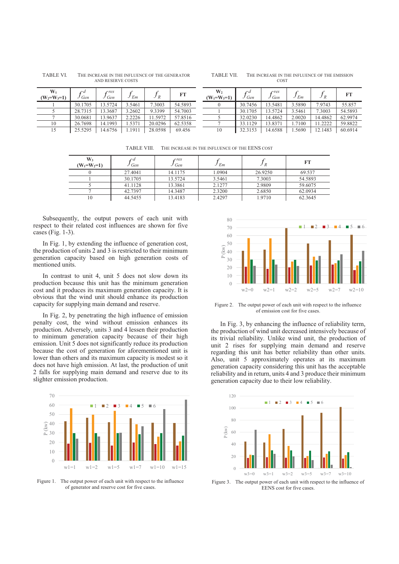| TABLE VI. | THE INCREASE IN THE INFLUENCE OF THE GENERATOR |
|-----------|------------------------------------------------|
|           | AND RESERVE COSTS                              |

TABLE VII. THE INCREASE IN THE INFLUENCE OF THE EMISSION COST

| $W_1$<br>$(W_2=W_3=1)$ | ra<br>Gen | cres<br>Gen | $E_m$  | J R     | FT      | $\mathbf{W}_2$<br>$(W_1=W_3=1)$ | ra<br>' Gen | cres<br>Gen | $J$ Em | JR      | FT      |
|------------------------|-----------|-------------|--------|---------|---------|---------------------------------|-------------|-------------|--------|---------|---------|
|                        | 30.1705   | 13.5724     | 3.5461 | 7.3003  | 54.5893 |                                 | 30.7456     | 13.5481     | 3.5890 | 7.9743  | 55.857  |
|                        | 28.7315   | 13.3687     | 3.2602 | 9.3399  | 54.7003 |                                 | 30.1705     | 13.5724     | 3.5461 | 7.3003  | 54.5893 |
|                        | 30.0681   | 13.9637     | 2.2226 | 1.5972  | 57.8516 |                                 | 32.0230     | 14.4862     | 2.0020 | 14.4862 | 62.9974 |
| 10                     | 26.7698   | 14.1993     | . 5371 | 20.0296 | 62.5358 |                                 | 33.1129     | 13.837      | 1.7100 | 1.2222  | 59.8822 |
|                        | 25.5295   | 14.6756     | . 1911 | 28.0598 | 69.456  | 10                              | 32.3153     | 14.6588     | .5690  | 12.1483 | 60.6914 |

TABLE VIII. THE INCREASE IN THE INFLUENCE OF THE EENS COST

| W,<br>$(W_1=W_2=1)$ | J Gen   | rres<br>Gen | $J_{Em}$ | J R     | FT      |
|---------------------|---------|-------------|----------|---------|---------|
|                     | 27.4041 | 14.1175     | 1.0904   | 26.9250 | 69.537  |
|                     | 30.1705 | 13.5724     | 3.5461   | 7.3003  | 54.5893 |
|                     | 41.1128 | 13.3861     | 2.1277   | 2.9809  | 59.6075 |
|                     | 42.7397 | 14.3487     | 2.3200   | 2.6850  | 62.0934 |
| 10                  | 44.5455 | 13.4183     | 2.4297   | 1.9710  | 62.3645 |

Subsequently, the output powers of each unit with respect to their related cost influences are shown for five cases (Fig. 1-3).

In Fig. 1, by extending the influence of generation cost, the production of units 2 and 3 is restricted to their minimum generation capacity based on high generation costs of mentioned units.

In contrast to unit 4, unit 5 does not slow down its production because this unit has the minimum generation cost and it produces its maximum generation capacity. It is obvious that the wind unit should enhance its production capacity for supplying main demand and reserve.

In Fig. 2, by penetrating the high influence of emission penalty cost, the wind without emission enhances its production. Adversely, units 3 and 4 lessen their production to minimum generation capacity because of their high emission. Unit 5 does not significantly reduce its production because the cost of generation for aforementioned unit is lower than others and its maximum capacity is modest so it does not have high emission. At last, the production of unit 2 falls for supplying main demand and reserve due to its slighter emission production.



Figure 1. The output power of each unit with respect to the influence of generator and reserve cost for five cases.



Figure 2. The output power of each unit with respect to the influence of emission cost for five cases.

In Fig. 3, by enhancing the influence of reliability term, the production of wind unit decreased intensively because of its trivial reliability. Unlike wind unit, the production of unit 2 rises for supplying main demand and reserve regarding this unit has better reliability than other units. Also, unit 5 approximately operates at its maximum generation capacity considering this unit has the acceptable reliability and in return, units 4 and 3 produce their minimum generation capacity due to their low reliability.



Figure 3. The output power of each unit with respect to the influence of EENS cost for five cases.